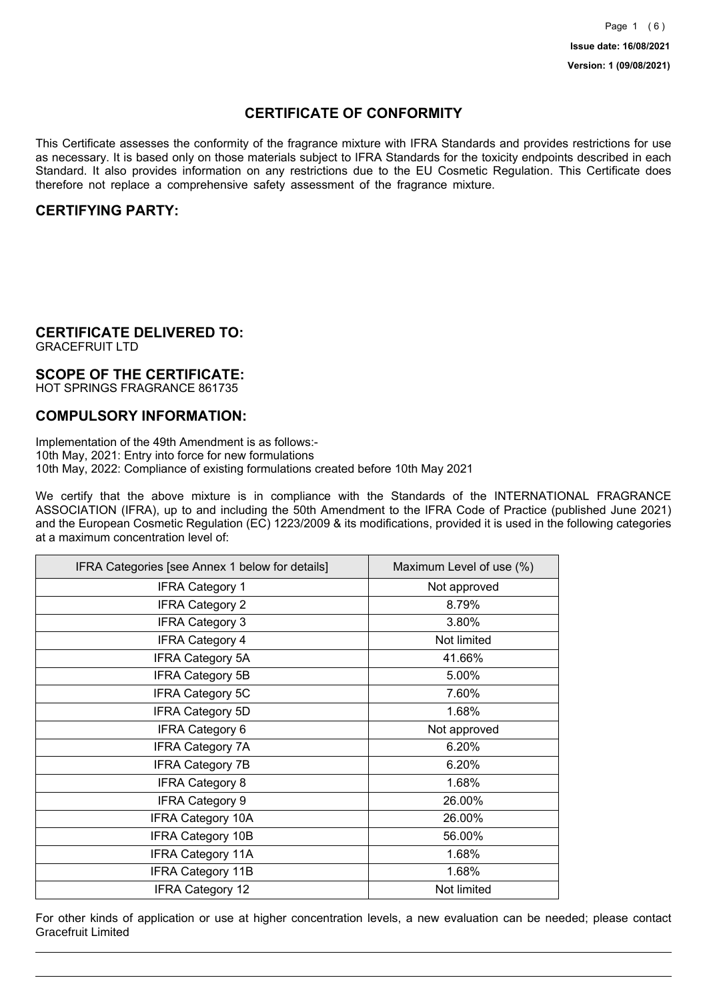## **CERTIFICATE OF CONFORMITY**

This Certificate assesses the conformity of the fragrance mixture with IFRA Standards and provides restrictions for use as necessary. It is based only on those materials subject to IFRA Standards for the toxicity endpoints described in each Standard. It also provides information on any restrictions due to the EU Cosmetic Regulation. This Certificate does therefore not replace a comprehensive safety assessment of the fragrance mixture.

## **CERTIFYING PARTY:**

## **CERTIFICATE DELIVERED TO:**

GRACEFRUIT LTD

### **SCOPE OF THE CERTIFICATE:**

HOT SPRINGS FRAGRANCE 861735

### **COMPULSORY INFORMATION:**

Implementation of the 49th Amendment is as follows:- 10th May, 2021: Entry into force for new formulations 10th May, 2022: Compliance of existing formulations created before 10th May 2021

We certify that the above mixture is in compliance with the Standards of the INTERNATIONAL FRAGRANCE ASSOCIATION (IFRA), up to and including the 50th Amendment to the IFRA Code of Practice (published June 2021) and the European Cosmetic Regulation (EC) 1223/2009 & its modifications, provided it is used in the following categories at a maximum concentration level of:

| IFRA Categories [see Annex 1 below for details] | Maximum Level of use (%) |
|-------------------------------------------------|--------------------------|
| <b>IFRA Category 1</b>                          | Not approved             |
| <b>IFRA Category 2</b>                          | 8.79%                    |
| <b>IFRA Category 3</b>                          | 3.80%                    |
| <b>IFRA Category 4</b>                          | Not limited              |
| <b>IFRA Category 5A</b>                         | 41.66%                   |
| <b>IFRA Category 5B</b>                         | 5.00%                    |
| <b>IFRA Category 5C</b>                         | 7.60%                    |
| <b>IFRA Category 5D</b>                         | 1.68%                    |
| <b>IFRA Category 6</b>                          | Not approved             |
| <b>IFRA Category 7A</b>                         | 6.20%                    |
| <b>IFRA Category 7B</b>                         | 6.20%                    |
| <b>IFRA Category 8</b>                          | 1.68%                    |
| <b>IFRA Category 9</b>                          | 26.00%                   |
| <b>IFRA Category 10A</b>                        | 26.00%                   |
| <b>IFRA Category 10B</b>                        | 56.00%                   |
| <b>IFRA Category 11A</b>                        | 1.68%                    |
| <b>IFRA Category 11B</b>                        | 1.68%                    |
| <b>IFRA Category 12</b>                         | Not limited              |

For other kinds of application or use at higher concentration levels, a new evaluation can be needed; please contact Gracefruit Limited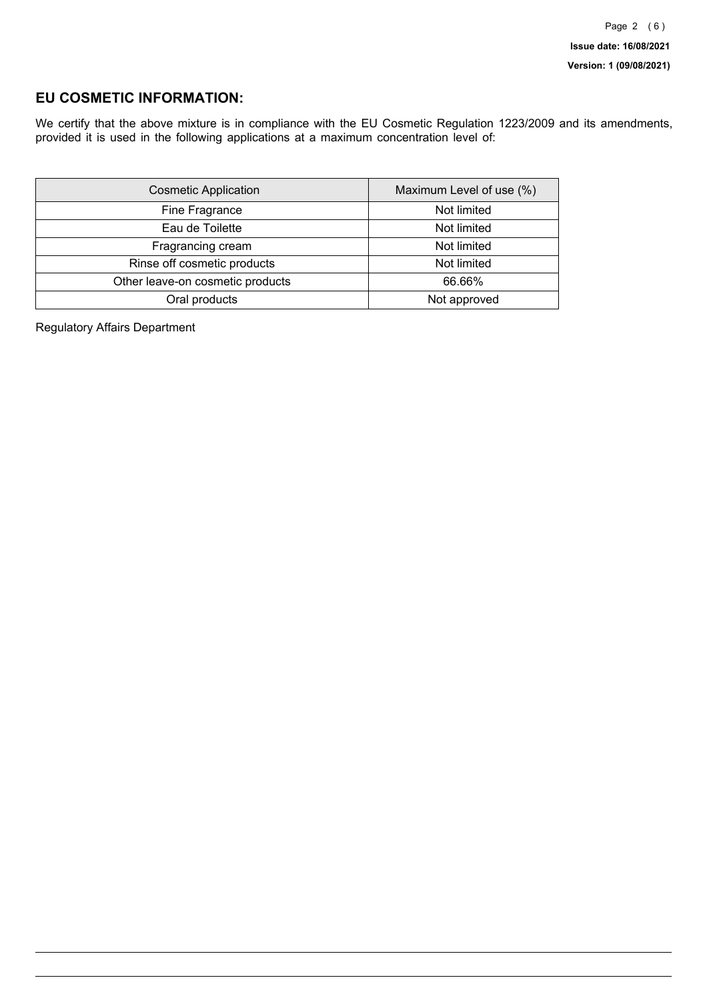## **EU COSMETIC INFORMATION:**

We certify that the above mixture is in compliance with the EU Cosmetic Regulation 1223/2009 and its amendments, provided it is used in the following applications at a maximum concentration level of:

| <b>Cosmetic Application</b>      | Maximum Level of use (%) |
|----------------------------------|--------------------------|
| Fine Fragrance                   | Not limited              |
| Eau de Toilette                  | Not limited              |
| Fragrancing cream                | Not limited              |
| Rinse off cosmetic products      | Not limited              |
| Other leave-on cosmetic products | 66.66%                   |
| Oral products                    | Not approved             |

Regulatory Affairs Department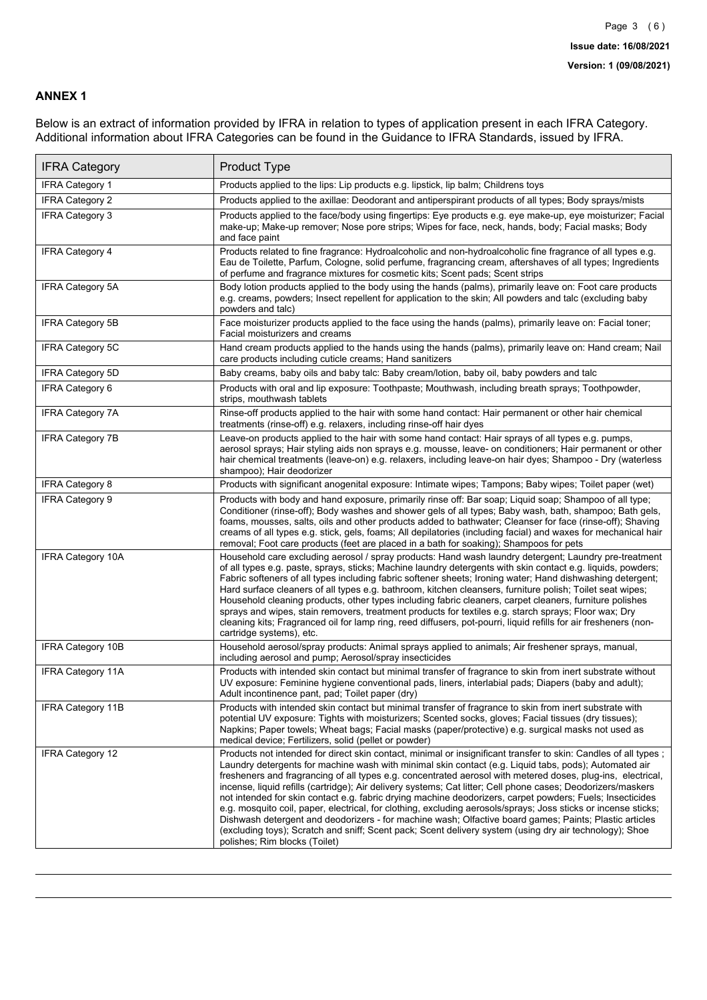### **ANNEX 1**

Below is an extract of information provided by IFRA in relation to types of application present in each IFRA Category. Additional information about IFRA Categories can be found in the Guidance to IFRA Standards, issued by IFRA.

| <b>IFRA Category</b>     | Product Type                                                                                                                                                                                                                                                                                                                                                                                                                                                                                                                                                                                                                                                                                                                                                                                                                                                                                                                                 |
|--------------------------|----------------------------------------------------------------------------------------------------------------------------------------------------------------------------------------------------------------------------------------------------------------------------------------------------------------------------------------------------------------------------------------------------------------------------------------------------------------------------------------------------------------------------------------------------------------------------------------------------------------------------------------------------------------------------------------------------------------------------------------------------------------------------------------------------------------------------------------------------------------------------------------------------------------------------------------------|
| <b>IFRA Category 1</b>   | Products applied to the lips: Lip products e.g. lipstick, lip balm; Childrens toys                                                                                                                                                                                                                                                                                                                                                                                                                                                                                                                                                                                                                                                                                                                                                                                                                                                           |
| <b>IFRA Category 2</b>   | Products applied to the axillae: Deodorant and antiperspirant products of all types; Body sprays/mists                                                                                                                                                                                                                                                                                                                                                                                                                                                                                                                                                                                                                                                                                                                                                                                                                                       |
| <b>IFRA Category 3</b>   | Products applied to the face/body using fingertips: Eye products e.g. eye make-up, eye moisturizer; Facial<br>make-up; Make-up remover; Nose pore strips; Wipes for face, neck, hands, body; Facial masks; Body<br>and face paint                                                                                                                                                                                                                                                                                                                                                                                                                                                                                                                                                                                                                                                                                                            |
| <b>IFRA Category 4</b>   | Products related to fine fragrance: Hydroalcoholic and non-hydroalcoholic fine fragrance of all types e.g.<br>Eau de Toilette, Parfum, Cologne, solid perfume, fragrancing cream, aftershaves of all types; Ingredients<br>of perfume and fragrance mixtures for cosmetic kits; Scent pads; Scent strips                                                                                                                                                                                                                                                                                                                                                                                                                                                                                                                                                                                                                                     |
| <b>IFRA Category 5A</b>  | Body lotion products applied to the body using the hands (palms), primarily leave on: Foot care products<br>e.g. creams, powders; Insect repellent for application to the skin; All powders and talc (excluding baby<br>powders and talc)                                                                                                                                                                                                                                                                                                                                                                                                                                                                                                                                                                                                                                                                                                    |
| IFRA Category 5B         | Face moisturizer products applied to the face using the hands (palms), primarily leave on: Facial toner;<br>Facial moisturizers and creams                                                                                                                                                                                                                                                                                                                                                                                                                                                                                                                                                                                                                                                                                                                                                                                                   |
| <b>IFRA Category 5C</b>  | Hand cream products applied to the hands using the hands (palms), primarily leave on: Hand cream; Nail<br>care products including cuticle creams; Hand sanitizers                                                                                                                                                                                                                                                                                                                                                                                                                                                                                                                                                                                                                                                                                                                                                                            |
| <b>IFRA Category 5D</b>  | Baby creams, baby oils and baby talc: Baby cream/lotion, baby oil, baby powders and talc                                                                                                                                                                                                                                                                                                                                                                                                                                                                                                                                                                                                                                                                                                                                                                                                                                                     |
| IFRA Category 6          | Products with oral and lip exposure: Toothpaste; Mouthwash, including breath sprays; Toothpowder,<br>strips, mouthwash tablets                                                                                                                                                                                                                                                                                                                                                                                                                                                                                                                                                                                                                                                                                                                                                                                                               |
| <b>IFRA Category 7A</b>  | Rinse-off products applied to the hair with some hand contact: Hair permanent or other hair chemical<br>treatments (rinse-off) e.g. relaxers, including rinse-off hair dyes                                                                                                                                                                                                                                                                                                                                                                                                                                                                                                                                                                                                                                                                                                                                                                  |
| <b>IFRA Category 7B</b>  | Leave-on products applied to the hair with some hand contact: Hair sprays of all types e.g. pumps,<br>aerosol sprays; Hair styling aids non sprays e.g. mousse, leave- on conditioners; Hair permanent or other<br>hair chemical treatments (leave-on) e.g. relaxers, including leave-on hair dyes; Shampoo - Dry (waterless<br>shampoo); Hair deodorizer                                                                                                                                                                                                                                                                                                                                                                                                                                                                                                                                                                                    |
| <b>IFRA Category 8</b>   | Products with significant anogenital exposure: Intimate wipes; Tampons; Baby wipes; Toilet paper (wet)                                                                                                                                                                                                                                                                                                                                                                                                                                                                                                                                                                                                                                                                                                                                                                                                                                       |
| IFRA Category 9          | Products with body and hand exposure, primarily rinse off: Bar soap; Liquid soap; Shampoo of all type;<br>Conditioner (rinse-off); Body washes and shower gels of all types; Baby wash, bath, shampoo; Bath gels,<br>foams, mousses, salts, oils and other products added to bathwater; Cleanser for face (rinse-off); Shaving<br>creams of all types e.g. stick, gels, foams; All depilatories (including facial) and waxes for mechanical hair<br>removal; Foot care products (feet are placed in a bath for soaking); Shampoos for pets                                                                                                                                                                                                                                                                                                                                                                                                   |
| <b>IFRA Category 10A</b> | Household care excluding aerosol / spray products: Hand wash laundry detergent; Laundry pre-treatment<br>of all types e.g. paste, sprays, sticks; Machine laundry detergents with skin contact e.g. liquids, powders;<br>Fabric softeners of all types including fabric softener sheets; Ironing water; Hand dishwashing detergent;<br>Hard surface cleaners of all types e.g. bathroom, kitchen cleansers, furniture polish; Toilet seat wipes;<br>Household cleaning products, other types including fabric cleaners, carpet cleaners, furniture polishes<br>sprays and wipes, stain removers, treatment products for textiles e.g. starch sprays; Floor wax; Dry<br>cleaning kits; Fragranced oil for lamp ring, reed diffusers, pot-pourri, liquid refills for air fresheners (non-<br>cartridge systems), etc.                                                                                                                          |
| <b>IFRA Category 10B</b> | Household aerosol/spray products: Animal sprays applied to animals; Air freshener sprays, manual,<br>including aerosol and pump; Aerosol/spray insecticides                                                                                                                                                                                                                                                                                                                                                                                                                                                                                                                                                                                                                                                                                                                                                                                  |
| <b>IFRA Category 11A</b> | Products with intended skin contact but minimal transfer of fragrance to skin from inert substrate without<br>UV exposure: Feminine hygiene conventional pads, liners, interlabial pads; Diapers (baby and adult);<br>Adult incontinence pant, pad; Toilet paper (dry)                                                                                                                                                                                                                                                                                                                                                                                                                                                                                                                                                                                                                                                                       |
| <b>IFRA Category 11B</b> | Products with intended skin contact but minimal transfer of fragrance to skin from inert substrate with<br>potential UV exposure: Tights with moisturizers; Scented socks, gloves; Facial tissues (dry tissues);<br>Napkins; Paper towels; Wheat bags; Facial masks (paper/protective) e.g. surgical masks not used as<br>medical device; Fertilizers, solid (pellet or powder)                                                                                                                                                                                                                                                                                                                                                                                                                                                                                                                                                              |
| <b>IFRA Category 12</b>  | Products not intended for direct skin contact, minimal or insignificant transfer to skin: Candles of all types;<br>Laundry detergents for machine wash with minimal skin contact (e.g. Liquid tabs, pods); Automated air<br>fresheners and fragrancing of all types e.g. concentrated aerosol with metered doses, plug-ins, electrical,<br>incense, liquid refills (cartridge); Air delivery systems; Cat litter; Cell phone cases; Deodorizers/maskers<br>not intended for skin contact e.g. fabric drying machine deodorizers, carpet powders; Fuels; Insecticides<br>e.g. mosquito coil, paper, electrical, for clothing, excluding aerosols/sprays; Joss sticks or incense sticks;<br>Dishwash detergent and deodorizers - for machine wash; Olfactive board games; Paints; Plastic articles<br>(excluding toys); Scratch and sniff; Scent pack; Scent delivery system (using dry air technology); Shoe<br>polishes; Rim blocks (Toilet) |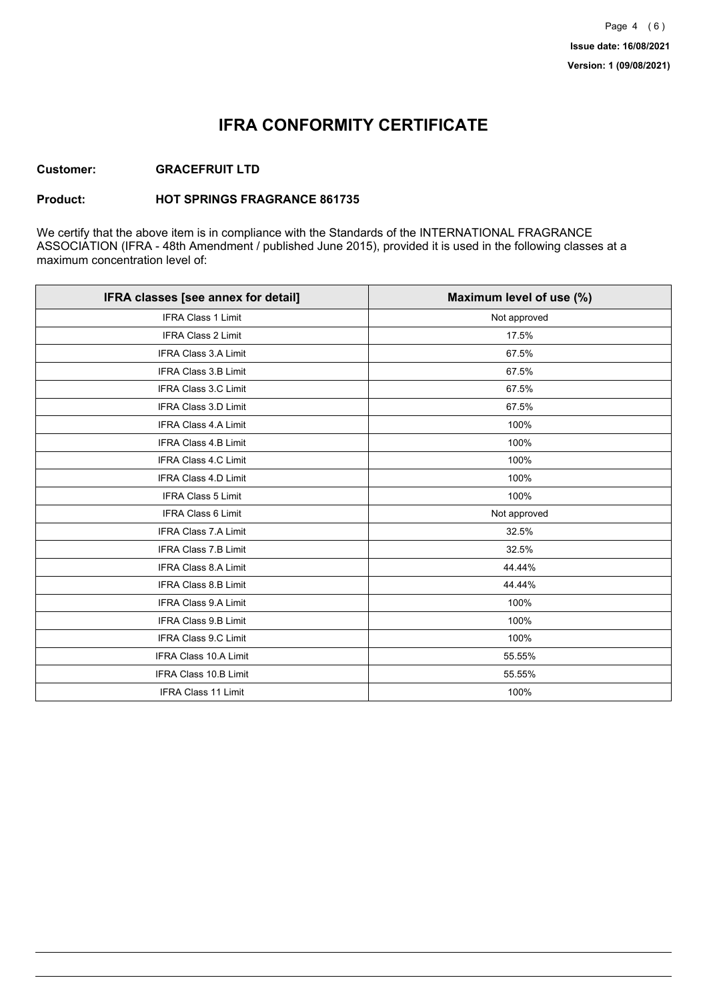## **IFRA CONFORMITY CERTIFICATE**

#### **Customer: GRACEFRUIT LTD**

#### **Product: HOT SPRINGS FRAGRANCE 861735**

We certify that the above item is in compliance with the Standards of the INTERNATIONAL FRAGRANCE ASSOCIATION (IFRA - 48th Amendment / published June 2015), provided it is used in the following classes at a maximum concentration level of:

| IFRA classes [see annex for detail] | Maximum level of use (%) |
|-------------------------------------|--------------------------|
| <b>IFRA Class 1 Limit</b>           | Not approved             |
| IFRA Class 2 Limit                  | 17.5%                    |
| <b>IFRA Class 3.A Limit</b>         | 67.5%                    |
| IFRA Class 3.B Limit                | 67.5%                    |
| <b>IFRA Class 3.C Limit</b>         | 67.5%                    |
| IFRA Class 3.D Limit                | 67.5%                    |
| <b>IFRA Class 4.A Limit</b>         | 100%                     |
| <b>IFRA Class 4.B Limit</b>         | 100%                     |
| <b>IFRA Class 4.C Limit</b>         | 100%                     |
| <b>IFRA Class 4.D Limit</b>         | 100%                     |
| <b>IFRA Class 5 Limit</b>           | 100%                     |
| IFRA Class 6 Limit                  | Not approved             |
| <b>IFRA Class 7.A Limit</b>         | 32.5%                    |
| <b>IFRA Class 7.B Limit</b>         | 32.5%                    |
| <b>IFRA Class 8.A Limit</b>         | 44.44%                   |
| IFRA Class 8.B Limit                | 44.44%                   |
| IFRA Class 9.A Limit                | 100%                     |
| <b>IFRA Class 9.B Limit</b>         | 100%                     |
| IFRA Class 9.C Limit                | 100%                     |
| IFRA Class 10.A Limit               | 55.55%                   |
| IFRA Class 10.B Limit               | 55.55%                   |
| <b>IFRA Class 11 Limit</b>          | 100%                     |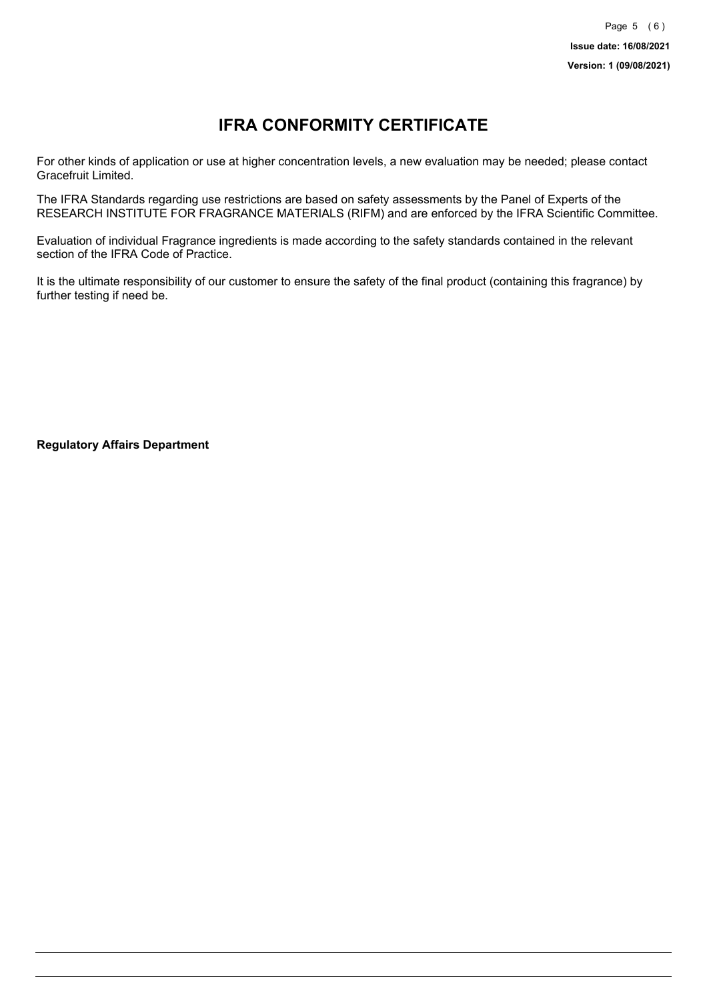# **IFRA CONFORMITY CERTIFICATE**

For other kinds of application or use at higher concentration levels, a new evaluation may be needed; please contact Gracefruit Limited.

The IFRA Standards regarding use restrictions are based on safety assessments by the Panel of Experts of the RESEARCH INSTITUTE FOR FRAGRANCE MATERIALS (RIFM) and are enforced by the IFRA Scientific Committee.

Evaluation of individual Fragrance ingredients is made according to the safety standards contained in the relevant section of the IFRA Code of Practice.

It is the ultimate responsibility of our customer to ensure the safety of the final product (containing this fragrance) by further testing if need be.

**Regulatory Affairs Department**